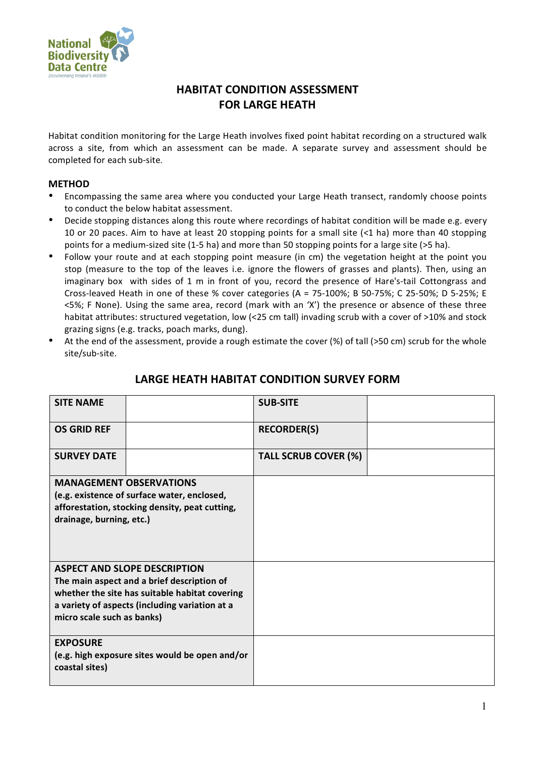

## **HABITAT
CONDITION
ASSESSMENT FOR
LARGE HEATH**

Habitat condition monitoring for the Large Heath involves fixed point habitat recording on a structured walk across a site, from which an assessment can be made. A separate survey and assessment should be completed
for
each
sub‐site.

## **METHOD**

- Encompassing the same area where you conducted your Large Heath transect, randomly choose points to
conduct
the
below
habitat
assessment.
- Decide stopping distances along this route where recordings of habitat condition will be made e.g. every 10 or 20 paces. Aim to have at least 20 stopping points for a small site (<1 ha) more than 40 stopping points for a medium-sized site (1-5 ha) and more than 50 stopping points for a large site (>5 ha).
- Follow your route and at each stopping point measure (in cm) the vegetation height at the point you stop (measure to the top of the leaves i.e. ignore the flowers of grasses and plants). Then, using an imaginary box with sides of 1 m in front of you, record the presence of Hare's-tail Cottongrass and Cross-leaved Heath in one of these % cover categories (A = 75-100%; B 50-75%; C 25-50%; D 5-25%; E <5%; F None). Using the same area, record (mark with an 'X') the presence or absence of these three habitat attributes: structured vegetation, low (<25 cm tall) invading scrub with a cover of >10% and stock grazing
signs
(e.g.
tracks,
poach
marks,
dung).
- At the end of the assessment, provide a rough estimate the cover (%) of tall (>50 cm) scrub for the whole site/sub‐site.

| <b>SITE NAME</b>           |                                                | <b>SUB-SITE</b>             |  |
|----------------------------|------------------------------------------------|-----------------------------|--|
| <b>OS GRID REF</b>         |                                                | <b>RECORDER(S)</b>          |  |
| <b>SURVEY DATE</b>         |                                                | <b>TALL SCRUB COVER (%)</b> |  |
|                            | <b>MANAGEMENT OBSERVATIONS</b>                 |                             |  |
|                            | (e.g. existence of surface water, enclosed,    |                             |  |
|                            | afforestation, stocking density, peat cutting, |                             |  |
| drainage, burning, etc.)   |                                                |                             |  |
|                            |                                                |                             |  |
|                            |                                                |                             |  |
|                            | <b>ASPECT AND SLOPE DESCRIPTION</b>            |                             |  |
|                            | The main aspect and a brief description of     |                             |  |
|                            | whether the site has suitable habitat covering |                             |  |
|                            | a variety of aspects (including variation at a |                             |  |
| micro scale such as banks) |                                                |                             |  |
| <b>EXPOSURE</b>            |                                                |                             |  |
|                            | (e.g. high exposure sites would be open and/or |                             |  |
| coastal sites)             |                                                |                             |  |
|                            |                                                |                             |  |

## LARGE HEATH HABITAT CONDITION SURVEY FORM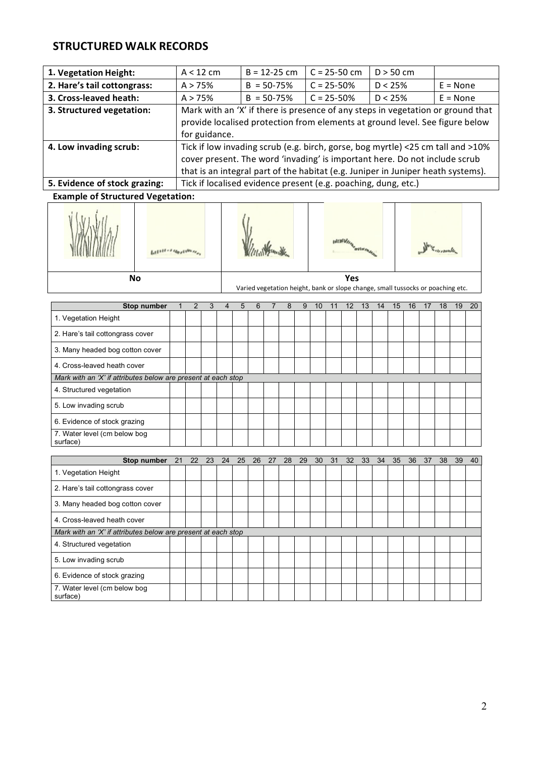## **STRUCTURED WALK RECORDS**

| 1. Vegetation Height:                                                                                                     | $A < 12$ cm                                                                     | $B = 12 - 25$ cm                                                                 | $C = 25 - 50$ cm | $D > 50$ cm |  |  |  |  |  |  |  |  |  |  |  |
|---------------------------------------------------------------------------------------------------------------------------|---------------------------------------------------------------------------------|----------------------------------------------------------------------------------|------------------|-------------|--|--|--|--|--|--|--|--|--|--|--|
| 2. Hare's tail cottongrass:                                                                                               | $C = 25 - 50%$<br>$B = 50 - 75%$<br>$D < 25\%$<br>A > 75%<br>$E = None$         |                                                                                  |                  |             |  |  |  |  |  |  |  |  |  |  |  |
| 3. Cross-leaved heath:                                                                                                    | A > 75%                                                                         | $B = 50 - 75%$                                                                   | D < 25%          | $E = None$  |  |  |  |  |  |  |  |  |  |  |  |
| 3. Structured vegetation:                                                                                                 | Mark with an 'X' if there is presence of any steps in vegetation or ground that |                                                                                  |                  |             |  |  |  |  |  |  |  |  |  |  |  |
|                                                                                                                           | provide localised protection from elements at ground level. See figure below    |                                                                                  |                  |             |  |  |  |  |  |  |  |  |  |  |  |
|                                                                                                                           | for guidance.                                                                   |                                                                                  |                  |             |  |  |  |  |  |  |  |  |  |  |  |
| 4. Low invading scrub:                                                                                                    |                                                                                 | Tick if low invading scrub (e.g. birch, gorse, bog myrtle) <25 cm tall and >10%  |                  |             |  |  |  |  |  |  |  |  |  |  |  |
|                                                                                                                           |                                                                                 | cover present. The word 'invading' is important here. Do not include scrub       |                  |             |  |  |  |  |  |  |  |  |  |  |  |
|                                                                                                                           |                                                                                 | that is an integral part of the habitat (e.g. Juniper in Juniper heath systems). |                  |             |  |  |  |  |  |  |  |  |  |  |  |
| 5. Evidence of stock grazing:                                                                                             |                                                                                 | Tick if localised evidence present (e.g. poaching, dung, etc.)                   |                  |             |  |  |  |  |  |  |  |  |  |  |  |
| $\mathbf{F}$ . The set of $\mathbf{F}$ $\mathbf{F}$ . The set of $\mathbf{F}$ is the set of $\mathbf{F}$ and $\mathbf{F}$ |                                                                                 |                                                                                  |                  |             |  |  |  |  |  |  |  |  |  |  |  |

**Example
of
Structured
Vegetation:**



| Stop number                                                   | $\mathcal{P}$ | 3 | 4 | 5 | 6 | 8 | 9 | 10 | 12 | 13 | 14 | 15 | 16 <sup>°</sup> | 17 | 18 | 19 | 20 |
|---------------------------------------------------------------|---------------|---|---|---|---|---|---|----|----|----|----|----|-----------------|----|----|----|----|
| 1. Vegetation Height                                          |               |   |   |   |   |   |   |    |    |    |    |    |                 |    |    |    |    |
| 2. Hare's tail cottongrass cover                              |               |   |   |   |   |   |   |    |    |    |    |    |                 |    |    |    |    |
| 3. Many headed bog cotton cover                               |               |   |   |   |   |   |   |    |    |    |    |    |                 |    |    |    |    |
| 4. Cross-leaved heath cover                                   |               |   |   |   |   |   |   |    |    |    |    |    |                 |    |    |    |    |
| Mark with an 'X' if attributes below are present at each stop |               |   |   |   |   |   |   |    |    |    |    |    |                 |    |    |    |    |
| 4. Structured vegetation                                      |               |   |   |   |   |   |   |    |    |    |    |    |                 |    |    |    |    |
| 5. Low invading scrub                                         |               |   |   |   |   |   |   |    |    |    |    |    |                 |    |    |    |    |
| 6. Evidence of stock grazing                                  |               |   |   |   |   |   |   |    |    |    |    |    |                 |    |    |    |    |
| 7. Water level (cm below bog<br>surface)                      |               |   |   |   |   |   |   |    |    |    |    |    |                 |    |    |    |    |

| Stop number                                                   | 21 | 22 | 23 | 24 | 25 | 26 | 27 | 28 | 29 | 30 | 31 | 32 <sup>°</sup> | 33 | 34 | 35 | 36 | 37 | 38 | 39 | 40 |
|---------------------------------------------------------------|----|----|----|----|----|----|----|----|----|----|----|-----------------|----|----|----|----|----|----|----|----|
| 1. Vegetation Height                                          |    |    |    |    |    |    |    |    |    |    |    |                 |    |    |    |    |    |    |    |    |
| 2. Hare's tail cottongrass cover                              |    |    |    |    |    |    |    |    |    |    |    |                 |    |    |    |    |    |    |    |    |
| 3. Many headed bog cotton cover                               |    |    |    |    |    |    |    |    |    |    |    |                 |    |    |    |    |    |    |    |    |
| 4. Cross-leaved heath cover                                   |    |    |    |    |    |    |    |    |    |    |    |                 |    |    |    |    |    |    |    |    |
| Mark with an 'X' if attributes below are present at each stop |    |    |    |    |    |    |    |    |    |    |    |                 |    |    |    |    |    |    |    |    |
| 4. Structured vegetation                                      |    |    |    |    |    |    |    |    |    |    |    |                 |    |    |    |    |    |    |    |    |
| 5. Low invading scrub                                         |    |    |    |    |    |    |    |    |    |    |    |                 |    |    |    |    |    |    |    |    |
| 6. Evidence of stock grazing                                  |    |    |    |    |    |    |    |    |    |    |    |                 |    |    |    |    |    |    |    |    |
| 7. Water level (cm below bog<br>surface)                      |    |    |    |    |    |    |    |    |    |    |    |                 |    |    |    |    |    |    |    |    |